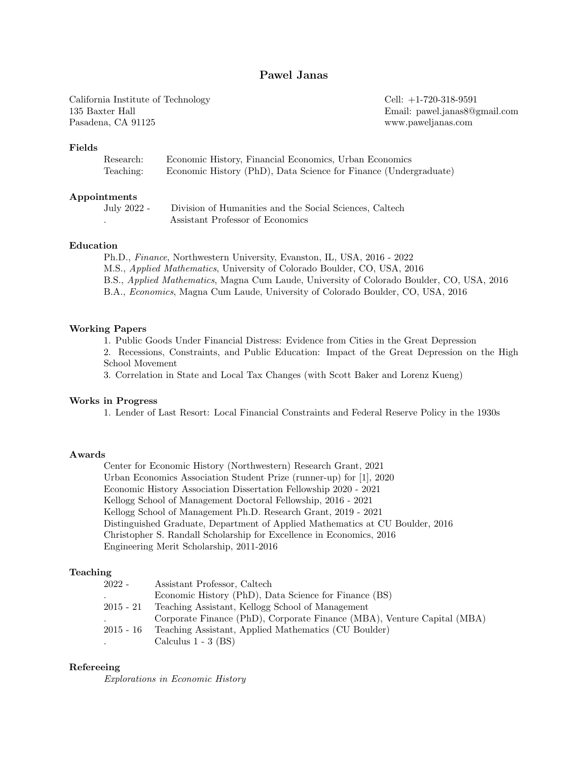# Pawel Janas

California Institute of Technology 135 Baxter Hall Pasadena, CA 91125

Cell: +1-720-318-9591 Email: pawel.janas8@gmail.com www.paweljanas.com

### Fields

| Research: | Economic History, Financial Economics, Urban Economics           |
|-----------|------------------------------------------------------------------|
| Teaching: | Economic History (PhD), Data Science for Finance (Undergraduate) |

#### Appointments

July 2022 - Division of Humanities and the Social Sciences, Caltech . Assistant Professor of Economics

### Education

Ph.D., Finance, Northwestern University, Evanston, IL, USA, 2016 - 2022 M.S., Applied Mathematics, University of Colorado Boulder, CO, USA, 2016 B.S., Applied Mathematics, Magna Cum Laude, University of Colorado Boulder, CO, USA, 2016 B.A., Economics, Magna Cum Laude, University of Colorado Boulder, CO, USA, 2016

#### Working Papers

1. Public Goods Under Financial Distress: Evidence from Cities in the Great Depression

2. Recessions, Constraints, and Public Education: Impact of the Great Depression on the High School Movement

3. Correlation in State and Local Tax Changes (with Scott Baker and Lorenz Kueng)

### Works in Progress

1. Lender of Last Resort: Local Financial Constraints and Federal Reserve Policy in the 1930s

### Awards

Center for Economic History (Northwestern) Research Grant, 2021 Urban Economics Association Student Prize (runner-up) for [1], 2020 Economic History Association Dissertation Fellowship 2020 - 2021 Kellogg School of Management Doctoral Fellowship, 2016 - 2021 Kellogg School of Management Ph.D. Research Grant, 2019 - 2021 Distinguished Graduate, Department of Applied Mathematics at CU Boulder, 2016 Christopher S. Randall Scholarship for Excellence in Economics, 2016 Engineering Merit Scholarship, 2011-2016

#### Teaching

| $2022 -$    | Assistant Professor, Caltech                                            |
|-------------|-------------------------------------------------------------------------|
|             | Economic History (PhD), Data Science for Finance (BS)                   |
| $2015 - 21$ | Teaching Assistant, Kellogg School of Management                        |
|             | Corporate Finance (PhD), Corporate Finance (MBA), Venture Capital (MBA) |
| $2015 - 16$ | Teaching Assistant, Applied Mathematics (CU Boulder)                    |
| $\bullet$   | Calculus $1 - 3$ (BS)                                                   |

### Refereeing

Explorations in Economic History